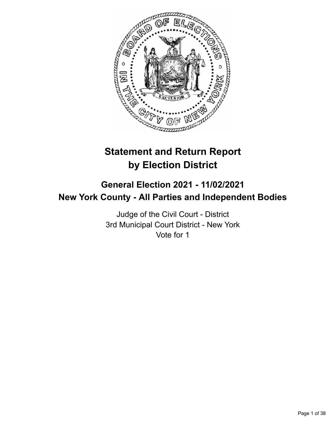

# **Statement and Return Report by Election District**

## **General Election 2021 - 11/02/2021 New York County - All Parties and Independent Bodies**

Judge of the Civil Court - District 3rd Municipal Court District - New York Vote for 1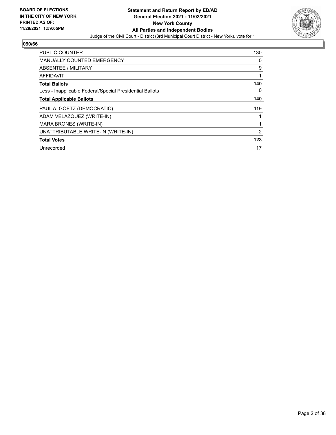

| <b>PUBLIC COUNTER</b>                                    | 130 |
|----------------------------------------------------------|-----|
| <b>MANUALLY COUNTED EMERGENCY</b>                        | 0   |
| ABSENTEE / MILITARY                                      | 9   |
| <b>AFFIDAVIT</b>                                         |     |
| <b>Total Ballots</b>                                     | 140 |
| Less - Inapplicable Federal/Special Presidential Ballots | 0   |
| <b>Total Applicable Ballots</b>                          | 140 |
| PAUL A. GOETZ (DEMOCRATIC)                               | 119 |
| ADAM VELAZQUEZ (WRITE-IN)                                |     |
| MARA BRONES (WRITE-IN)                                   |     |
| UNATTRIBUTABLE WRITE-IN (WRITE-IN)                       | 2   |
| <b>Total Votes</b>                                       | 123 |
| Unrecorded                                               | 17  |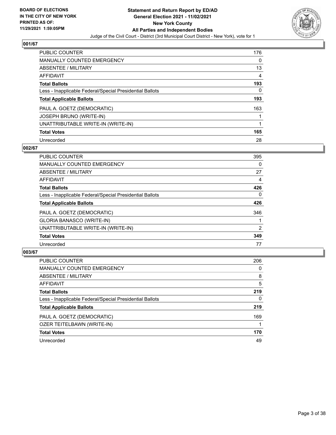

| <b>PUBLIC COUNTER</b>                                    | 176 |
|----------------------------------------------------------|-----|
| <b>MANUALLY COUNTED EMERGENCY</b>                        | 0   |
| ABSENTEE / MILITARY                                      | 13  |
| AFFIDAVIT                                                | 4   |
| <b>Total Ballots</b>                                     | 193 |
| Less - Inapplicable Federal/Special Presidential Ballots | 0   |
| <b>Total Applicable Ballots</b>                          | 193 |
| PAUL A. GOETZ (DEMOCRATIC)                               | 163 |
| <b>JOSEPH BRUNO (WRITE-IN)</b>                           |     |
| UNATTRIBUTABLE WRITE-IN (WRITE-IN)                       |     |
| <b>Total Votes</b>                                       | 165 |
| Unrecorded                                               | 28  |

#### **002/67**

| <b>PUBLIC COUNTER</b>                                    | 395            |
|----------------------------------------------------------|----------------|
| <b>MANUALLY COUNTED EMERGENCY</b>                        | $\Omega$       |
| ABSENTEE / MILITARY                                      | 27             |
| AFFIDAVIT                                                | 4              |
| <b>Total Ballots</b>                                     | 426            |
| Less - Inapplicable Federal/Special Presidential Ballots | $\Omega$       |
| <b>Total Applicable Ballots</b>                          | 426            |
| PAUL A. GOETZ (DEMOCRATIC)                               | 346            |
| <b>GLORIA BANASCO (WRITE-IN)</b>                         |                |
| UNATTRIBUTABLE WRITE-IN (WRITE-IN)                       | $\overline{2}$ |
| <b>Total Votes</b>                                       | 349            |
| Unrecorded                                               | 77             |

| <b>PUBLIC COUNTER</b>                                    | 206      |
|----------------------------------------------------------|----------|
| <b>MANUALLY COUNTED EMERGENCY</b>                        | $\Omega$ |
| ABSENTEE / MILITARY                                      | 8        |
| AFFIDAVIT                                                | 5        |
| <b>Total Ballots</b>                                     | 219      |
| Less - Inapplicable Federal/Special Presidential Ballots | 0        |
| <b>Total Applicable Ballots</b>                          | 219      |
| PAUL A. GOETZ (DEMOCRATIC)                               | 169      |
| OZER TEITELBAWN (WRITE-IN)                               |          |
| <b>Total Votes</b>                                       | 170      |
| Unrecorded                                               | 49       |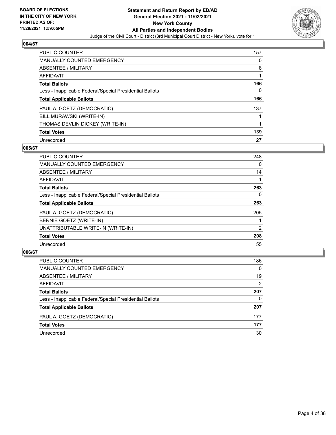

| <b>PUBLIC COUNTER</b>                                    | 157 |
|----------------------------------------------------------|-----|
| <b>MANUALLY COUNTED EMERGENCY</b>                        | 0   |
| ABSENTEE / MILITARY                                      | 8   |
| AFFIDAVIT                                                |     |
| <b>Total Ballots</b>                                     | 166 |
| Less - Inapplicable Federal/Special Presidential Ballots | 0   |
| <b>Total Applicable Ballots</b>                          | 166 |
| PAUL A. GOETZ (DEMOCRATIC)                               | 137 |
| BILL MURAWSKI (WRITE-IN)                                 |     |
| THOMAS DEVLIN DICKEY (WRITE-IN)                          |     |
| <b>Total Votes</b>                                       | 139 |
| Unrecorded                                               | 27  |

#### **005/67**

| <b>PUBLIC COUNTER</b>                                    | 248      |
|----------------------------------------------------------|----------|
| <b>MANUALLY COUNTED EMERGENCY</b>                        | $\Omega$ |
| ABSENTEE / MILITARY                                      | 14       |
| <b>AFFIDAVIT</b>                                         |          |
| <b>Total Ballots</b>                                     | 263      |
| Less - Inapplicable Federal/Special Presidential Ballots | 0        |
| <b>Total Applicable Ballots</b>                          | 263      |
| PAUL A. GOETZ (DEMOCRATIC)                               | 205      |
| BERNIE GOETZ (WRITE-IN)                                  |          |
| UNATTRIBUTABLE WRITE-IN (WRITE-IN)                       | 2        |
| <b>Total Votes</b>                                       | 208      |
| Unrecorded                                               | 55       |

| PUBLIC COUNTER                                           | 186      |
|----------------------------------------------------------|----------|
| MANUALLY COUNTED EMERGENCY                               | $\Omega$ |
| <b>ABSENTEE / MILITARY</b>                               | 19       |
| AFFIDAVIT                                                | 2        |
| <b>Total Ballots</b>                                     | 207      |
| Less - Inapplicable Federal/Special Presidential Ballots | 0        |
| <b>Total Applicable Ballots</b>                          | 207      |
| PAUL A. GOETZ (DEMOCRATIC)                               | 177      |
| <b>Total Votes</b>                                       | 177      |
| Unrecorded                                               | 30       |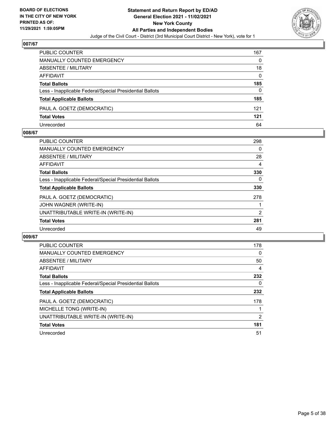

| <b>PUBLIC COUNTER</b>                                    | 167      |
|----------------------------------------------------------|----------|
| <b>MANUALLY COUNTED EMERGENCY</b>                        | 0        |
| ABSENTEE / MILITARY                                      | 18       |
| AFFIDAVIT                                                | $\Omega$ |
| <b>Total Ballots</b>                                     | 185      |
| Less - Inapplicable Federal/Special Presidential Ballots | 0        |
| <b>Total Applicable Ballots</b>                          | 185      |
| PAUL A. GOETZ (DEMOCRATIC)                               | 121      |
| <b>Total Votes</b>                                       | 121      |
| Unrecorded                                               | 64       |

#### **008/67**

| <b>PUBLIC COUNTER</b>                                    | 298            |
|----------------------------------------------------------|----------------|
| <b>MANUALLY COUNTED EMERGENCY</b>                        | 0              |
| ABSENTEE / MILITARY                                      | 28             |
| AFFIDAVIT                                                | 4              |
| <b>Total Ballots</b>                                     | 330            |
| Less - Inapplicable Federal/Special Presidential Ballots | 0              |
| <b>Total Applicable Ballots</b>                          | 330            |
| PAUL A. GOETZ (DEMOCRATIC)                               | 278            |
| JOHN WAGNER (WRITE-IN)                                   |                |
| UNATTRIBUTABLE WRITE-IN (WRITE-IN)                       | $\overline{2}$ |
| <b>Total Votes</b>                                       | 281            |
| Unrecorded                                               | 49             |
|                                                          |                |

| <b>PUBLIC COUNTER</b>                                    | 178 |
|----------------------------------------------------------|-----|
| <b>MANUALLY COUNTED EMERGENCY</b>                        | 0   |
| ABSENTEE / MILITARY                                      | 50  |
| AFFIDAVIT                                                | 4   |
| <b>Total Ballots</b>                                     | 232 |
| Less - Inapplicable Federal/Special Presidential Ballots | 0   |
| <b>Total Applicable Ballots</b>                          | 232 |
| PAUL A. GOETZ (DEMOCRATIC)                               | 178 |
| MICHELLE TONG (WRITE-IN)                                 |     |
| UNATTRIBUTABLE WRITE-IN (WRITE-IN)                       | 2   |
| <b>Total Votes</b>                                       | 181 |
| Unrecorded                                               | 51  |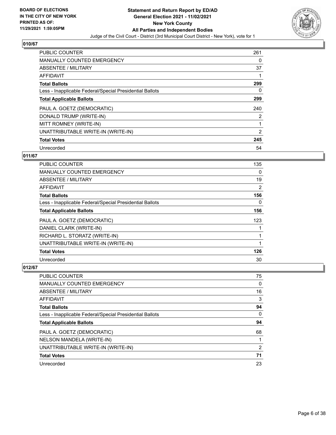

| <b>PUBLIC COUNTER</b>                                    | 261 |
|----------------------------------------------------------|-----|
| <b>MANUALLY COUNTED EMERGENCY</b>                        | 0   |
| ABSENTEE / MILITARY                                      | 37  |
| <b>AFFIDAVIT</b>                                         |     |
| <b>Total Ballots</b>                                     | 299 |
| Less - Inapplicable Federal/Special Presidential Ballots | 0   |
| <b>Total Applicable Ballots</b>                          | 299 |
| PAUL A. GOETZ (DEMOCRATIC)                               | 240 |
| DONALD TRUMP (WRITE-IN)                                  | 2   |
| MITT ROMNEY (WRITE-IN)                                   |     |
| UNATTRIBUTABLE WRITE-IN (WRITE-IN)                       | 2   |
| <b>Total Votes</b>                                       | 245 |
| Unrecorded                                               | 54  |

## **011/67**

| <b>PUBLIC COUNTER</b>                                    | 135            |
|----------------------------------------------------------|----------------|
| MANUALLY COUNTED EMERGENCY                               | 0              |
| ABSENTEE / MILITARY                                      | 19             |
| <b>AFFIDAVIT</b>                                         | $\overline{2}$ |
| <b>Total Ballots</b>                                     | 156            |
| Less - Inapplicable Federal/Special Presidential Ballots | 0              |
| <b>Total Applicable Ballots</b>                          | 156            |
| PAUL A. GOETZ (DEMOCRATIC)                               | 123            |
| DANIEL CLARK (WRITE-IN)                                  |                |
| RICHARD L. STORATZ (WRITE-IN)                            |                |
| UNATTRIBUTABLE WRITE-IN (WRITE-IN)                       |                |
| <b>Total Votes</b>                                       | 126            |
| Unrecorded                                               | 30             |

| <b>PUBLIC COUNTER</b>                                    | 75 |
|----------------------------------------------------------|----|
| <b>MANUALLY COUNTED EMERGENCY</b>                        | 0  |
| ABSENTEE / MILITARY                                      | 16 |
| AFFIDAVIT                                                | 3  |
| <b>Total Ballots</b>                                     | 94 |
| Less - Inapplicable Federal/Special Presidential Ballots | 0  |
| <b>Total Applicable Ballots</b>                          | 94 |
| PAUL A. GOETZ (DEMOCRATIC)                               | 68 |
| NELSON MANDELA (WRITE-IN)                                |    |
| UNATTRIBUTABLE WRITE-IN (WRITE-IN)                       | 2  |
| <b>Total Votes</b>                                       | 71 |
| Unrecorded                                               | 23 |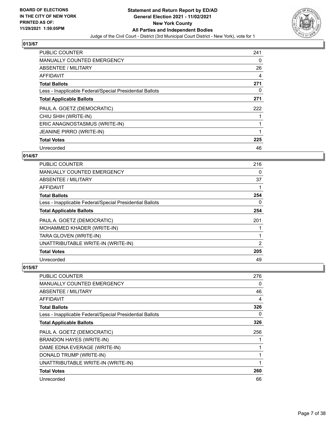

| <b>PUBLIC COUNTER</b>                                    | 241 |
|----------------------------------------------------------|-----|
| <b>MANUALLY COUNTED EMERGENCY</b>                        | 0   |
| ABSENTEE / MILITARY                                      | 26  |
| AFFIDAVIT                                                | 4   |
| <b>Total Ballots</b>                                     | 271 |
| Less - Inapplicable Federal/Special Presidential Ballots | 0   |
| <b>Total Applicable Ballots</b>                          | 271 |
| PAUL A. GOETZ (DEMOCRATIC)                               | 222 |
| CHIU SHIH (WRITE-IN)                                     |     |
| ERIC ANAGNOSTASMUS (WRITE-IN)                            |     |
| <b>JEANINE PIRRO (WRITE-IN)</b>                          | 1   |
| <b>Total Votes</b>                                       | 225 |
| Unrecorded                                               | 46  |

## **014/67**

| <b>PUBLIC COUNTER</b>                                    | 216 |
|----------------------------------------------------------|-----|
| MANUALLY COUNTED EMERGENCY                               | 0   |
| ABSENTEE / MILITARY                                      | 37  |
| AFFIDAVIT                                                |     |
| <b>Total Ballots</b>                                     | 254 |
| Less - Inapplicable Federal/Special Presidential Ballots | 0   |
| <b>Total Applicable Ballots</b>                          | 254 |
| PAUL A. GOETZ (DEMOCRATIC)                               | 201 |
| MOHAMMED KHADER (WRITE-IN)                               |     |
| TARA GLOVEN (WRITE-IN)                                   |     |
| UNATTRIBUTABLE WRITE-IN (WRITE-IN)                       | 2   |
| <b>Total Votes</b>                                       | 205 |
| Unrecorded                                               | 49  |

| <b>PUBLIC COUNTER</b>                                    | 276 |
|----------------------------------------------------------|-----|
| <b>MANUALLY COUNTED EMERGENCY</b>                        | 0   |
| ABSENTEE / MILITARY                                      | 46  |
| AFFIDAVIT                                                | 4   |
| <b>Total Ballots</b>                                     | 326 |
| Less - Inapplicable Federal/Special Presidential Ballots | 0   |
| <b>Total Applicable Ballots</b>                          | 326 |
| PAUL A. GOETZ (DEMOCRATIC)                               | 256 |
| <b>BRANDON HAYES (WRITE-IN)</b>                          |     |
| DAME EDNA EVERAGE (WRITE-IN)                             |     |
| DONALD TRUMP (WRITE-IN)                                  |     |
| UNATTRIBUTABLE WRITE-IN (WRITE-IN)                       |     |
| <b>Total Votes</b>                                       | 260 |
| Unrecorded                                               | 66  |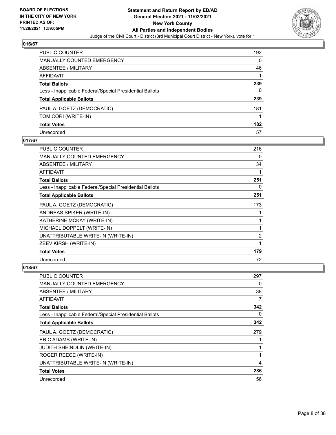

| <b>PUBLIC COUNTER</b>                                    | 192      |
|----------------------------------------------------------|----------|
| <b>MANUALLY COUNTED EMERGENCY</b>                        | $\Omega$ |
| ABSENTEE / MILITARY                                      | 46       |
| <b>AFFIDAVIT</b>                                         |          |
| <b>Total Ballots</b>                                     | 239      |
| Less - Inapplicable Federal/Special Presidential Ballots | 0        |
| <b>Total Applicable Ballots</b>                          | 239      |
| PAUL A. GOETZ (DEMOCRATIC)                               | 181      |
| TOM CORI (WRITE-IN)                                      |          |
| <b>Total Votes</b>                                       | 182      |
| Unrecorded                                               | 57       |

## **017/67**

| <b>PUBLIC COUNTER</b>                                    | 216 |
|----------------------------------------------------------|-----|
| <b>MANUALLY COUNTED EMERGENCY</b>                        | 0   |
| ABSENTEE / MILITARY                                      | 34  |
| AFFIDAVIT                                                | 1   |
| <b>Total Ballots</b>                                     | 251 |
| Less - Inapplicable Federal/Special Presidential Ballots | 0   |
| <b>Total Applicable Ballots</b>                          | 251 |
| PAUL A. GOETZ (DEMOCRATIC)                               | 173 |
| ANDREAS SPIKER (WRITE-IN)                                | 1   |
| KATHERINE MCKAY (WRITE-IN)                               | 1   |
| MICHAEL DOPPELT (WRITE-IN)                               | 1   |
| UNATTRIBUTABLE WRITE-IN (WRITE-IN)                       | 2   |
| ZEEV KIRSH (WRITE-IN)                                    | 1   |
| <b>Total Votes</b>                                       | 179 |
| Unrecorded                                               | 72  |

| PUBLIC COUNTER                                           | 297 |
|----------------------------------------------------------|-----|
| <b>MANUALLY COUNTED EMERGENCY</b>                        | 0   |
| ABSENTEE / MILITARY                                      | 38  |
| AFFIDAVIT                                                | 7   |
| <b>Total Ballots</b>                                     | 342 |
| Less - Inapplicable Federal/Special Presidential Ballots | 0   |
| <b>Total Applicable Ballots</b>                          | 342 |
| PAUL A. GOETZ (DEMOCRATIC)                               | 279 |
| ERIC ADAMS (WRITE-IN)                                    |     |
| <b>JUDITH SHEINDLIN (WRITE-IN)</b>                       | 1   |
| ROGER REECE (WRITE-IN)                                   | 1   |
| UNATTRIBUTABLE WRITE-IN (WRITE-IN)                       | 4   |
| <b>Total Votes</b>                                       | 286 |
| Unrecorded                                               | 56  |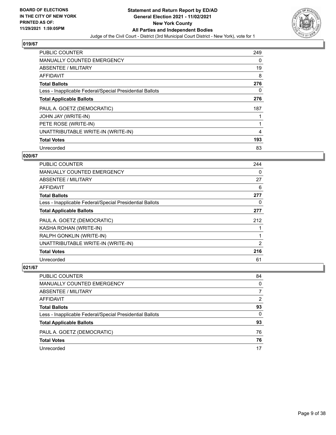

| PUBLIC COUNTER                                           | 249 |
|----------------------------------------------------------|-----|
| <b>MANUALLY COUNTED EMERGENCY</b>                        | 0   |
| ABSENTEE / MILITARY                                      | 19  |
| <b>AFFIDAVIT</b>                                         | 8   |
| <b>Total Ballots</b>                                     | 276 |
| Less - Inapplicable Federal/Special Presidential Ballots | 0   |
| <b>Total Applicable Ballots</b>                          | 276 |
| PAUL A. GOETZ (DEMOCRATIC)                               | 187 |
| JOHN JAY (WRITE-IN)                                      |     |
| PETE ROSE (WRITE-IN)                                     |     |
| UNATTRIBUTABLE WRITE-IN (WRITE-IN)                       | 4   |
| <b>Total Votes</b>                                       | 193 |
| Unrecorded                                               | 83  |

## **020/67**

| <b>PUBLIC COUNTER</b>                                    | 244      |
|----------------------------------------------------------|----------|
| <b>MANUALLY COUNTED EMERGENCY</b>                        | $\Omega$ |
| ABSENTEE / MILITARY                                      | 27       |
| AFFIDAVIT                                                | 6        |
| <b>Total Ballots</b>                                     | 277      |
| Less - Inapplicable Federal/Special Presidential Ballots | 0        |
| <b>Total Applicable Ballots</b>                          | 277      |
| PAUL A. GOETZ (DEMOCRATIC)                               | 212      |
| KASHA ROHAN (WRITE-IN)                                   |          |
| RALPH GONKLIN (WRITE-IN)                                 |          |
| UNATTRIBUTABLE WRITE-IN (WRITE-IN)                       | 2        |
| <b>Total Votes</b>                                       | 216      |
| Unrecorded                                               | 61       |

| <b>PUBLIC COUNTER</b>                                    | 84       |
|----------------------------------------------------------|----------|
| <b>MANUALLY COUNTED EMERGENCY</b>                        | 0        |
| ABSENTEE / MILITARY                                      |          |
| AFFIDAVIT                                                | 2        |
| <b>Total Ballots</b>                                     | 93       |
| Less - Inapplicable Federal/Special Presidential Ballots | $\Omega$ |
| <b>Total Applicable Ballots</b>                          | 93       |
| PAUL A. GOETZ (DEMOCRATIC)                               | 76       |
| <b>Total Votes</b>                                       | 76       |
| Unrecorded                                               | 17       |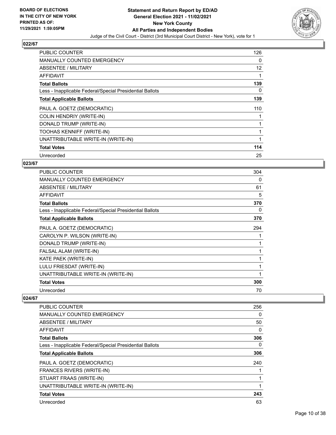

| <b>PUBLIC COUNTER</b>                                    | 126 |
|----------------------------------------------------------|-----|
| <b>MANUALLY COUNTED EMERGENCY</b>                        | 0   |
| <b>ABSENTEE / MILITARY</b>                               | 12  |
| <b>AFFIDAVIT</b>                                         |     |
| <b>Total Ballots</b>                                     | 139 |
| Less - Inapplicable Federal/Special Presidential Ballots | 0   |
| <b>Total Applicable Ballots</b>                          | 139 |
| PAUL A. GOETZ (DEMOCRATIC)                               | 110 |
| <b>COLIN HENDRIY (WRITE-IN)</b>                          |     |
| DONALD TRUMP (WRITE-IN)                                  |     |
| TOOHAS KENNIFF (WRITE-IN)                                |     |
| UNATTRIBUTABLE WRITE-IN (WRITE-IN)                       |     |
| <b>Total Votes</b>                                       | 114 |
| Unrecorded                                               | 25  |

## **023/67**

| <b>PUBLIC COUNTER</b>                                    | 304 |
|----------------------------------------------------------|-----|
| <b>MANUALLY COUNTED EMERGENCY</b>                        | 0   |
| ABSENTEE / MILITARY                                      | 61  |
| AFFIDAVIT                                                | 5   |
| <b>Total Ballots</b>                                     | 370 |
| Less - Inapplicable Federal/Special Presidential Ballots | 0   |
| <b>Total Applicable Ballots</b>                          | 370 |
| PAUL A. GOETZ (DEMOCRATIC)                               | 294 |
| CAROLYN P. WILSON (WRITE-IN)                             |     |
| DONALD TRUMP (WRITE-IN)                                  | 1   |
| FALSAL ALAM (WRITE-IN)                                   |     |
| KATE PAEK (WRITE-IN)                                     |     |
| LULU FRIESDAT (WRITE-IN)                                 | 1   |
| UNATTRIBUTABLE WRITE-IN (WRITE-IN)                       | 1   |
| <b>Total Votes</b>                                       | 300 |
| Unrecorded                                               | 70  |

| <b>PUBLIC COUNTER</b>                                    | 256 |
|----------------------------------------------------------|-----|
| <b>MANUALLY COUNTED EMERGENCY</b>                        | 0   |
| ABSENTEE / MILITARY                                      | 50  |
| AFFIDAVIT                                                | 0   |
| <b>Total Ballots</b>                                     | 306 |
| Less - Inapplicable Federal/Special Presidential Ballots | 0   |
| <b>Total Applicable Ballots</b>                          | 306 |
| PAUL A. GOETZ (DEMOCRATIC)                               | 240 |
| FRANCES RIVERS (WRITE-IN)                                |     |
| STUART FRAAS (WRITE-IN)                                  |     |
| UNATTRIBUTABLE WRITE-IN (WRITE-IN)                       |     |
| <b>Total Votes</b>                                       | 243 |
| Unrecorded                                               | 63  |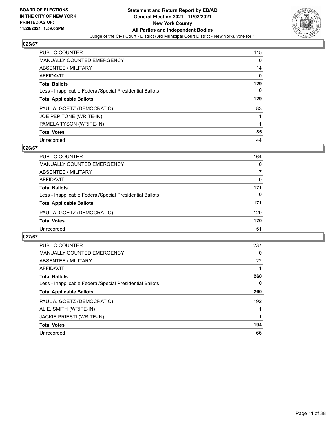

| <b>PUBLIC COUNTER</b>                                    | 115      |
|----------------------------------------------------------|----------|
| <b>MANUALLY COUNTED EMERGENCY</b>                        | 0        |
| ABSENTEE / MILITARY                                      | 14       |
| <b>AFFIDAVIT</b>                                         | $\Omega$ |
| <b>Total Ballots</b>                                     | 129      |
| Less - Inapplicable Federal/Special Presidential Ballots | 0        |
| <b>Total Applicable Ballots</b>                          | 129      |
| PAUL A. GOETZ (DEMOCRATIC)                               | 83       |
|                                                          |          |
| JOE PEPITONE (WRITE-IN)                                  |          |
| PAMELA TYSON (WRITE-IN)                                  |          |
| <b>Total Votes</b>                                       | 85       |

#### **026/67**

| PUBLIC COUNTER                                           | 164      |
|----------------------------------------------------------|----------|
| <b>MANUALLY COUNTED EMERGENCY</b>                        | 0        |
| ABSENTEE / MILITARY                                      |          |
| AFFIDAVIT                                                | $\Omega$ |
| <b>Total Ballots</b>                                     | 171      |
| Less - Inapplicable Federal/Special Presidential Ballots | 0        |
| <b>Total Applicable Ballots</b>                          | 171      |
| PAUL A. GOETZ (DEMOCRATIC)                               | 120      |
| <b>Total Votes</b>                                       | 120      |
| Unrecorded                                               | 51       |

| PUBLIC COUNTER                                           | 237 |
|----------------------------------------------------------|-----|
| <b>MANUALLY COUNTED EMERGENCY</b>                        | 0   |
| ABSENTEE / MILITARY                                      | 22  |
| AFFIDAVIT                                                |     |
| <b>Total Ballots</b>                                     | 260 |
| Less - Inapplicable Federal/Special Presidential Ballots | 0   |
| <b>Total Applicable Ballots</b>                          | 260 |
| PAUL A. GOETZ (DEMOCRATIC)                               | 192 |
| AL E. SMITH (WRITE-IN)                                   |     |
| <b>JACKIE PRIESTI (WRITE-IN)</b>                         |     |
| <b>Total Votes</b>                                       | 194 |
| Unrecorded                                               | 66  |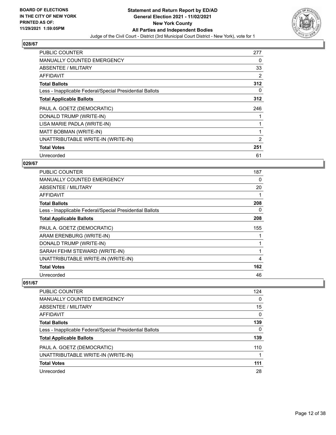

| <b>PUBLIC COUNTER</b>                                    | 277 |
|----------------------------------------------------------|-----|
| <b>MANUALLY COUNTED EMERGENCY</b>                        | 0   |
| ABSENTEE / MILITARY                                      | 33  |
| AFFIDAVIT                                                | 2   |
| <b>Total Ballots</b>                                     | 312 |
| Less - Inapplicable Federal/Special Presidential Ballots | 0   |
| <b>Total Applicable Ballots</b>                          | 312 |
| PAUL A. GOETZ (DEMOCRATIC)                               | 246 |
| DONALD TRUMP (WRITE-IN)                                  |     |
| LISA MARIE PADLA (WRITE-IN)                              | 1   |
| MATT BOBMAN (WRITE-IN)                                   | 1   |
| UNATTRIBUTABLE WRITE-IN (WRITE-IN)                       | 2   |
| <b>Total Votes</b>                                       | 251 |
| Unrecorded                                               | 61  |

## **029/67**

| <b>PUBLIC COUNTER</b>                                    | 187 |
|----------------------------------------------------------|-----|
| <b>MANUALLY COUNTED EMERGENCY</b>                        | 0   |
| <b>ABSENTEE / MILITARY</b>                               | 20  |
| AFFIDAVIT                                                |     |
| <b>Total Ballots</b>                                     | 208 |
| Less - Inapplicable Federal/Special Presidential Ballots | 0   |
| <b>Total Applicable Ballots</b>                          | 208 |
| PAUL A. GOETZ (DEMOCRATIC)                               | 155 |
| ARAM ERENBURG (WRITE-IN)                                 |     |
| DONALD TRUMP (WRITE-IN)                                  |     |
| SARAH FEHM STEWARD (WRITE-IN)                            |     |
| UNATTRIBUTABLE WRITE-IN (WRITE-IN)                       | 4   |
| <b>Total Votes</b>                                       | 162 |
| Unrecorded                                               | 46  |

| <b>PUBLIC COUNTER</b>                                    | 124      |
|----------------------------------------------------------|----------|
| <b>MANUALLY COUNTED EMERGENCY</b>                        | 0        |
| ABSENTEE / MILITARY                                      | 15       |
| AFFIDAVIT                                                | $\Omega$ |
| <b>Total Ballots</b>                                     | 139      |
| Less - Inapplicable Federal/Special Presidential Ballots | 0        |
| <b>Total Applicable Ballots</b>                          | 139      |
| PAUL A. GOETZ (DEMOCRATIC)                               | 110      |
| UNATTRIBUTABLE WRITE-IN (WRITE-IN)                       |          |
| <b>Total Votes</b>                                       | 111      |
| Unrecorded                                               | 28       |
|                                                          |          |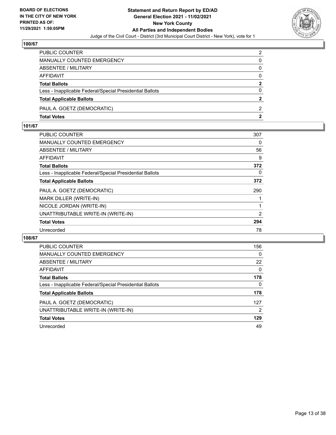

| PUBLIC COUNTER                                           | $\mathcal{P}$  |
|----------------------------------------------------------|----------------|
| <b>MANUALLY COUNTED EMERGENCY</b>                        | 0              |
| <b>ABSENTEE / MILITARY</b>                               | 0              |
| AFFIDAVIT                                                | $\Omega$       |
| <b>Total Ballots</b>                                     | $\overline{2}$ |
| Less - Inapplicable Federal/Special Presidential Ballots | $\Omega$       |
| <b>Total Applicable Ballots</b>                          | $\overline{2}$ |
| PAUL A. GOETZ (DEMOCRATIC)                               | $\mathcal{P}$  |
| <b>Total Votes</b>                                       | 2              |

## **101/67**

| <b>PUBLIC COUNTER</b>                                    | 307 |
|----------------------------------------------------------|-----|
| <b>MANUALLY COUNTED EMERGENCY</b>                        | 0   |
| ABSENTEE / MILITARY                                      | 56  |
| <b>AFFIDAVIT</b>                                         | 9   |
| <b>Total Ballots</b>                                     | 372 |
| Less - Inapplicable Federal/Special Presidential Ballots | 0   |
| <b>Total Applicable Ballots</b>                          | 372 |
| PAUL A. GOETZ (DEMOCRATIC)                               | 290 |
| MARK DILLER (WRITE-IN)                                   |     |
| NICOLE JORDAN (WRITE-IN)                                 |     |
| UNATTRIBUTABLE WRITE-IN (WRITE-IN)                       | 2   |
| <b>Total Votes</b>                                       | 294 |
| Unrecorded                                               | 78  |
|                                                          |     |

| <b>PUBLIC COUNTER</b>                                    | 156      |
|----------------------------------------------------------|----------|
| MANUALLY COUNTED EMERGENCY                               | $\Omega$ |
| ABSENTEE / MILITARY                                      | 22       |
| AFFIDAVIT                                                | $\Omega$ |
| <b>Total Ballots</b>                                     | 178      |
| Less - Inapplicable Federal/Special Presidential Ballots | $\Omega$ |
| <b>Total Applicable Ballots</b>                          | 178      |
| PAUL A. GOETZ (DEMOCRATIC)                               | 127      |
| UNATTRIBUTABLE WRITE-IN (WRITE-IN)                       | 2        |
| <b>Total Votes</b>                                       | 129      |
| Unrecorded                                               | 49       |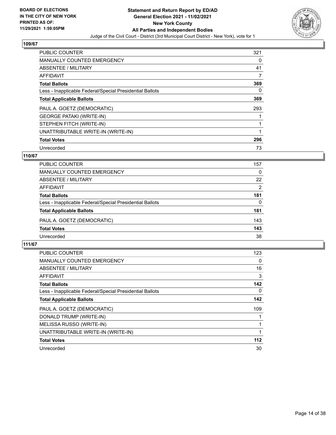

| <b>PUBLIC COUNTER</b>                                    | 321 |
|----------------------------------------------------------|-----|
| <b>MANUALLY COUNTED EMERGENCY</b>                        | 0   |
| ABSENTEE / MILITARY                                      | 41  |
| <b>AFFIDAVIT</b>                                         | 7   |
| <b>Total Ballots</b>                                     | 369 |
| Less - Inapplicable Federal/Special Presidential Ballots | 0   |
| <b>Total Applicable Ballots</b>                          | 369 |
| PAUL A. GOETZ (DEMOCRATIC)                               | 293 |
| <b>GEORGE PATAKI (WRITE-IN)</b>                          |     |
| STEPHEN FITCH (WRITE-IN)                                 |     |
| UNATTRIBUTABLE WRITE-IN (WRITE-IN)                       |     |
| <b>Total Votes</b>                                       | 296 |
| Unrecorded                                               | 73  |

## **110/67**

| <b>PUBLIC COUNTER</b>                                    | 157      |
|----------------------------------------------------------|----------|
| MANUALLY COUNTED EMERGENCY                               | 0        |
| ABSENTEE / MILITARY                                      | 22       |
| AFFIDAVIT                                                | 2        |
| <b>Total Ballots</b>                                     | 181      |
| Less - Inapplicable Federal/Special Presidential Ballots | $\Omega$ |
| <b>Total Applicable Ballots</b>                          | 181      |
| PAUL A. GOETZ (DEMOCRATIC)                               | 143      |
| <b>Total Votes</b>                                       | 143      |
| Unrecorded                                               | 38       |

| <b>PUBLIC COUNTER</b>                                    | 123   |
|----------------------------------------------------------|-------|
| <b>MANUALLY COUNTED EMERGENCY</b>                        | 0     |
| ABSENTEE / MILITARY                                      | 16    |
| AFFIDAVIT                                                | 3     |
| <b>Total Ballots</b>                                     | 142   |
| Less - Inapplicable Federal/Special Presidential Ballots | 0     |
| <b>Total Applicable Ballots</b>                          | 142   |
| PAUL A. GOETZ (DEMOCRATIC)                               | 109   |
| DONALD TRUMP (WRITE-IN)                                  |       |
| MELISSA RUSSO (WRITE-IN)                                 |       |
| UNATTRIBUTABLE WRITE-IN (WRITE-IN)                       |       |
| <b>Total Votes</b>                                       | $112$ |
| Unrecorded                                               | 30    |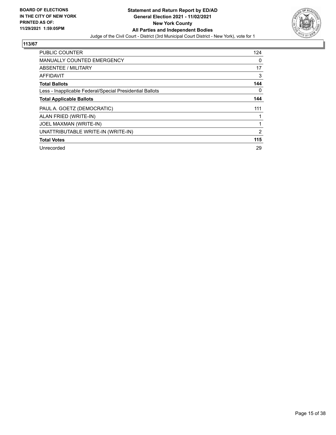

| <b>PUBLIC COUNTER</b>                                    | 124 |
|----------------------------------------------------------|-----|
| <b>MANUALLY COUNTED EMERGENCY</b>                        | 0   |
| ABSENTEE / MILITARY                                      | 17  |
| <b>AFFIDAVIT</b>                                         | 3   |
| <b>Total Ballots</b>                                     | 144 |
| Less - Inapplicable Federal/Special Presidential Ballots | 0   |
| <b>Total Applicable Ballots</b>                          | 144 |
| PAUL A. GOETZ (DEMOCRATIC)                               | 111 |
| ALAN FRIED (WRITE-IN)                                    |     |
| JOEL MAXMAN (WRITE-IN)                                   |     |
| UNATTRIBUTABLE WRITE-IN (WRITE-IN)                       | 2   |
| <b>Total Votes</b>                                       | 115 |
| Unrecorded                                               | 29  |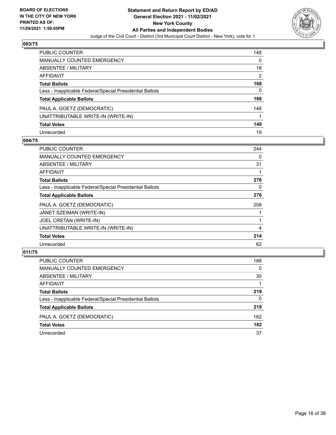

| <b>PUBLIC COUNTER</b>                                    | 148 |
|----------------------------------------------------------|-----|
| <b>MANUALLY COUNTED EMERGENCY</b>                        | 0   |
| ABSENTEE / MILITARY                                      | 18  |
| <b>AFFIDAVIT</b>                                         | 2   |
| <b>Total Ballots</b>                                     | 168 |
| Less - Inapplicable Federal/Special Presidential Ballots | 0   |
| <b>Total Applicable Ballots</b>                          | 168 |
| PAUL A. GOETZ (DEMOCRATIC)                               | 148 |
| UNATTRIBUTABLE WRITE-IN (WRITE-IN)                       |     |
| <b>Total Votes</b>                                       | 149 |
| Unrecorded                                               | 19  |

#### **004/75**

| PUBLIC COUNTER                                           | 244 |
|----------------------------------------------------------|-----|
| <b>MANUALLY COUNTED EMERGENCY</b>                        | 0   |
| ABSENTEE / MILITARY                                      | 31  |
| <b>AFFIDAVIT</b>                                         |     |
| <b>Total Ballots</b>                                     | 276 |
| Less - Inapplicable Federal/Special Presidential Ballots | 0   |
| <b>Total Applicable Ballots</b>                          | 276 |
| PAUL A. GOETZ (DEMOCRATIC)                               | 208 |
| JANET SZEIMAN (WRITE-IN)                                 |     |
| JOEL CRETAN (WRITE-IN)                                   |     |
| UNATTRIBUTABLE WRITE-IN (WRITE-IN)                       | 4   |
| <b>Total Votes</b>                                       | 214 |
| Unrecorded                                               | 62  |

| PUBLIC COUNTER                                           | 188      |
|----------------------------------------------------------|----------|
| MANUALLY COUNTED EMERGENCY                               | $\Omega$ |
| <b>ABSENTEE / MILITARY</b>                               | 30       |
| AFFIDAVIT                                                |          |
| <b>Total Ballots</b>                                     | 219      |
| Less - Inapplicable Federal/Special Presidential Ballots | 0        |
| <b>Total Applicable Ballots</b>                          | 219      |
| PAUL A. GOETZ (DEMOCRATIC)                               | 182      |
| <b>Total Votes</b>                                       | 182      |
| Unrecorded                                               | 37       |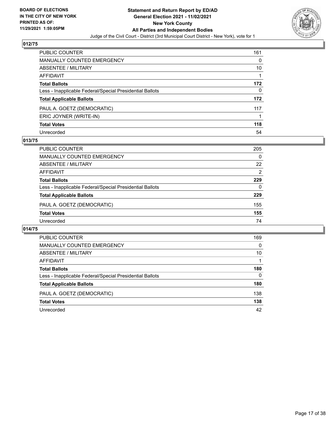

| <b>PUBLIC COUNTER</b>                                    | 161 |
|----------------------------------------------------------|-----|
| <b>MANUALLY COUNTED EMERGENCY</b>                        | 0   |
| ABSENTEE / MILITARY                                      | 10  |
| <b>AFFIDAVIT</b>                                         |     |
| <b>Total Ballots</b>                                     | 172 |
| Less - Inapplicable Federal/Special Presidential Ballots | 0   |
| <b>Total Applicable Ballots</b>                          | 172 |
| PAUL A. GOETZ (DEMOCRATIC)                               | 117 |
| ERIC JOYNER (WRITE-IN)                                   |     |
| <b>Total Votes</b>                                       | 118 |
| Unrecorded                                               | 54  |

#### **013/75**

| <b>PUBLIC COUNTER</b>                                    | 205      |
|----------------------------------------------------------|----------|
| MANUALLY COUNTED EMERGENCY                               | $\Omega$ |
| ABSENTEE / MILITARY                                      | 22       |
| AFFIDAVIT                                                | 2        |
| <b>Total Ballots</b>                                     | 229      |
| Less - Inapplicable Federal/Special Presidential Ballots | 0        |
| <b>Total Applicable Ballots</b>                          | 229      |
| PAUL A. GOETZ (DEMOCRATIC)                               | 155      |
| <b>Total Votes</b>                                       | 155      |
| Unrecorded                                               | 74       |

| PUBLIC COUNTER                                           | 169      |
|----------------------------------------------------------|----------|
| <b>MANUALLY COUNTED EMERGENCY</b>                        | 0        |
| ABSENTEE / MILITARY                                      | 10       |
| AFFIDAVIT                                                |          |
| <b>Total Ballots</b>                                     | 180      |
| Less - Inapplicable Federal/Special Presidential Ballots | $\Omega$ |
| <b>Total Applicable Ballots</b>                          | 180      |
| PAUL A. GOETZ (DEMOCRATIC)                               | 138      |
| <b>Total Votes</b>                                       | 138      |
| Unrecorded                                               | 42       |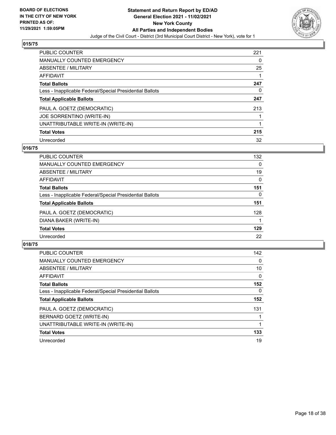

| <b>PUBLIC COUNTER</b>                                    | 221 |
|----------------------------------------------------------|-----|
| <b>MANUALLY COUNTED EMERGENCY</b>                        | 0   |
| ABSENTEE / MILITARY                                      | 25  |
| AFFIDAVIT                                                |     |
| <b>Total Ballots</b>                                     | 247 |
| Less - Inapplicable Federal/Special Presidential Ballots | 0   |
| <b>Total Applicable Ballots</b>                          | 247 |
| PAUL A. GOETZ (DEMOCRATIC)                               | 213 |
| <b>JOE SORRENTINO (WRITE-IN)</b>                         |     |
| UNATTRIBUTABLE WRITE-IN (WRITE-IN)                       |     |
| <b>Total Votes</b>                                       | 215 |
| Unrecorded                                               | 32  |

#### **016/75**

| PUBLIC COUNTER                                           | 132 |
|----------------------------------------------------------|-----|
| <b>MANUALLY COUNTED EMERGENCY</b>                        | 0   |
| ABSENTEE / MILITARY                                      | 19  |
| AFFIDAVIT                                                | 0   |
| <b>Total Ballots</b>                                     | 151 |
| Less - Inapplicable Federal/Special Presidential Ballots | 0   |
| <b>Total Applicable Ballots</b>                          | 151 |
| PAUL A. GOETZ (DEMOCRATIC)                               | 128 |
| DIANA BAKER (WRITE-IN)                                   |     |
| <b>Total Votes</b>                                       | 129 |
| Unrecorded                                               | 22  |

| <b>PUBLIC COUNTER</b>                                    | 142      |
|----------------------------------------------------------|----------|
| MANUALLY COUNTED EMERGENCY                               | 0        |
| ABSENTEE / MILITARY                                      | 10       |
| AFFIDAVIT                                                | $\Omega$ |
| <b>Total Ballots</b>                                     | 152      |
| Less - Inapplicable Federal/Special Presidential Ballots | $\Omega$ |
| <b>Total Applicable Ballots</b>                          | 152      |
| PAUL A. GOETZ (DEMOCRATIC)                               | 131      |
| BERNARD GOETZ (WRITE-IN)                                 |          |
| UNATTRIBUTABLE WRITE-IN (WRITE-IN)                       |          |
| <b>Total Votes</b>                                       | 133      |
| Unrecorded                                               | 19       |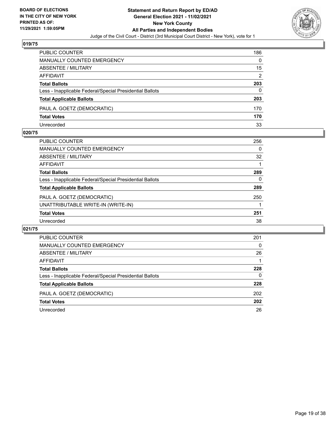

| PUBLIC COUNTER                                           | 186 |
|----------------------------------------------------------|-----|
| MANUALLY COUNTED EMERGENCY                               | 0   |
| ABSENTEE / MILITARY                                      | 15  |
| AFFIDAVIT                                                | 2   |
| <b>Total Ballots</b>                                     | 203 |
| Less - Inapplicable Federal/Special Presidential Ballots | 0   |
| <b>Total Applicable Ballots</b>                          | 203 |
| PAUL A. GOETZ (DEMOCRATIC)                               | 170 |
| <b>Total Votes</b>                                       | 170 |
| Unrecorded                                               | 33  |

#### **020/75**

| PUBLIC COUNTER                                           | 256 |
|----------------------------------------------------------|-----|
| MANUALLY COUNTED EMERGENCY                               | 0   |
| ABSENTEE / MILITARY                                      | 32  |
| AFFIDAVIT                                                |     |
| <b>Total Ballots</b>                                     | 289 |
| Less - Inapplicable Federal/Special Presidential Ballots | 0   |
| <b>Total Applicable Ballots</b>                          | 289 |
| PAUL A. GOETZ (DEMOCRATIC)                               | 250 |
| UNATTRIBUTABLE WRITE-IN (WRITE-IN)                       |     |
| <b>Total Votes</b>                                       | 251 |
| Unrecorded                                               | 38  |
|                                                          |     |

| PUBLIC COUNTER                                           | 201      |
|----------------------------------------------------------|----------|
| <b>MANUALLY COUNTED EMERGENCY</b>                        | $\Omega$ |
| ABSENTEE / MILITARY                                      | 26       |
| AFFIDAVIT                                                |          |
| <b>Total Ballots</b>                                     | 228      |
| Less - Inapplicable Federal/Special Presidential Ballots | 0        |
| <b>Total Applicable Ballots</b>                          | 228      |
| PAUL A. GOETZ (DEMOCRATIC)                               | 202      |
| <b>Total Votes</b>                                       | 202      |
| Unrecorded                                               | 26       |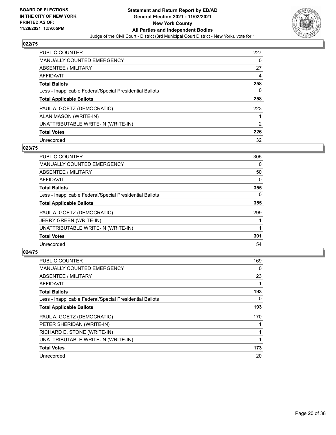

| <b>PUBLIC COUNTER</b>                                    | 227 |
|----------------------------------------------------------|-----|
| <b>MANUALLY COUNTED EMERGENCY</b>                        | 0   |
| ABSENTEE / MILITARY                                      | 27  |
| AFFIDAVIT                                                | 4   |
| <b>Total Ballots</b>                                     | 258 |
| Less - Inapplicable Federal/Special Presidential Ballots | 0   |
| <b>Total Applicable Ballots</b>                          | 258 |
| PAUL A. GOETZ (DEMOCRATIC)                               | 223 |
| ALAN MASON (WRITE-IN)                                    |     |
| UNATTRIBUTABLE WRITE-IN (WRITE-IN)                       | 2   |
| <b>Total Votes</b>                                       | 226 |
| Unrecorded                                               | 32  |

#### **023/75**

| <b>PUBLIC COUNTER</b>                                    | 305      |
|----------------------------------------------------------|----------|
| <b>MANUALLY COUNTED EMERGENCY</b>                        | 0        |
| ABSENTEE / MILITARY                                      | 50       |
| <b>AFFIDAVIT</b>                                         | $\Omega$ |
| <b>Total Ballots</b>                                     | 355      |
| Less - Inapplicable Federal/Special Presidential Ballots | $\Omega$ |
| <b>Total Applicable Ballots</b>                          | 355      |
| PAUL A. GOETZ (DEMOCRATIC)                               | 299      |
| JERRY GREEN (WRITE-IN)                                   |          |
| UNATTRIBUTABLE WRITE-IN (WRITE-IN)                       |          |
| <b>Total Votes</b>                                       | 301      |
| Unrecorded                                               | 54       |

| PUBLIC COUNTER                                           | 169 |
|----------------------------------------------------------|-----|
| <b>MANUALLY COUNTED EMERGENCY</b>                        | 0   |
| ABSENTEE / MILITARY                                      | 23  |
| AFFIDAVIT                                                |     |
| <b>Total Ballots</b>                                     | 193 |
| Less - Inapplicable Federal/Special Presidential Ballots | 0   |
| <b>Total Applicable Ballots</b>                          | 193 |
| PAUL A. GOETZ (DEMOCRATIC)                               | 170 |
| PETER SHERIDAN (WRITE-IN)                                |     |
| RICHARD E. STONE (WRITE-IN)                              |     |
| UNATTRIBUTABLE WRITE-IN (WRITE-IN)                       |     |
| <b>Total Votes</b>                                       | 173 |
| Unrecorded                                               | 20  |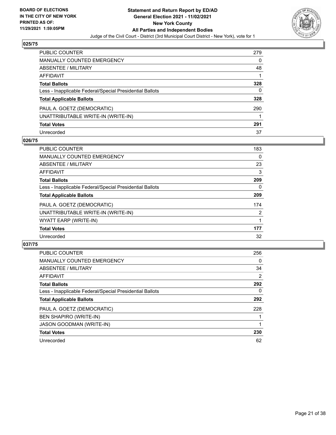

| <b>PUBLIC COUNTER</b>                                    | 279 |
|----------------------------------------------------------|-----|
| <b>MANUALLY COUNTED EMERGENCY</b>                        | 0   |
| ABSENTEE / MILITARY                                      | 48  |
| <b>AFFIDAVIT</b>                                         |     |
| <b>Total Ballots</b>                                     | 328 |
| Less - Inapplicable Federal/Special Presidential Ballots | 0   |
| <b>Total Applicable Ballots</b>                          | 328 |
| PAUL A. GOETZ (DEMOCRATIC)                               | 290 |
| UNATTRIBUTABLE WRITE-IN (WRITE-IN)                       |     |
| <b>Total Votes</b>                                       | 291 |
| Unrecorded                                               | 37  |

#### **026/75**

| <b>PUBLIC COUNTER</b>                                    | 183 |
|----------------------------------------------------------|-----|
| <b>MANUALLY COUNTED EMERGENCY</b>                        | 0   |
| ABSENTEE / MILITARY                                      | 23  |
| <b>AFFIDAVIT</b>                                         | 3   |
| <b>Total Ballots</b>                                     | 209 |
| Less - Inapplicable Federal/Special Presidential Ballots | 0   |
| <b>Total Applicable Ballots</b>                          | 209 |
| PAUL A. GOETZ (DEMOCRATIC)                               | 174 |
| UNATTRIBUTABLE WRITE-IN (WRITE-IN)                       | 2   |
| WYATT EARP (WRITE-IN)                                    |     |
| <b>Total Votes</b>                                       | 177 |
| Unrecorded                                               | 32  |

| <b>PUBLIC COUNTER</b>                                    | 256            |
|----------------------------------------------------------|----------------|
| <b>MANUALLY COUNTED EMERGENCY</b>                        | $\Omega$       |
| ABSENTEE / MILITARY                                      | 34             |
| AFFIDAVIT                                                | $\overline{2}$ |
| <b>Total Ballots</b>                                     | 292            |
| Less - Inapplicable Federal/Special Presidential Ballots | $\Omega$       |
| <b>Total Applicable Ballots</b>                          | 292            |
| PAUL A. GOETZ (DEMOCRATIC)                               | 228            |
| <b>BEN SHAPIRO (WRITE-IN)</b>                            |                |
| <b>JASON GOODMAN (WRITE-IN)</b>                          |                |
| <b>Total Votes</b>                                       | 230            |
| Unrecorded                                               | 62             |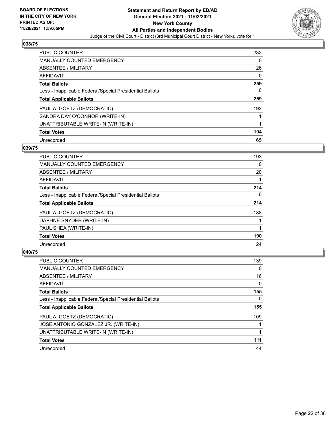

| <b>PUBLIC COUNTER</b>                                    | 233 |
|----------------------------------------------------------|-----|
| <b>MANUALLY COUNTED EMERGENCY</b>                        | 0   |
| ABSENTEE / MILITARY                                      | 26  |
| AFFIDAVIT                                                | 0   |
| <b>Total Ballots</b>                                     | 259 |
| Less - Inapplicable Federal/Special Presidential Ballots | 0   |
| <b>Total Applicable Ballots</b>                          | 259 |
| PAUL A. GOETZ (DEMOCRATIC)                               | 192 |
| SANDRA DAY O'CONNOR (WRITE-IN)                           |     |
| UNATTRIBUTABLE WRITE-IN (WRITE-IN)                       |     |
| <b>Total Votes</b>                                       | 194 |
| Unrecorded                                               | 65  |

#### **039/75**

| PUBLIC COUNTER                                           | 193      |
|----------------------------------------------------------|----------|
| <b>MANUALLY COUNTED EMERGENCY</b>                        | 0        |
| ABSENTEE / MILITARY                                      | 20       |
| <b>AFFIDAVIT</b>                                         |          |
| <b>Total Ballots</b>                                     | 214      |
| Less - Inapplicable Federal/Special Presidential Ballots | $\Omega$ |
| <b>Total Applicable Ballots</b>                          | 214      |
| PAUL A. GOETZ (DEMOCRATIC)                               | 188      |
| DAPHNE SNYDER (WRITE-IN)                                 |          |
| PAUL SHEA (WRITE-IN)                                     |          |
| <b>Total Votes</b>                                       | 190      |
| Unrecorded                                               | 24       |

| PUBLIC COUNTER                                           | 139      |
|----------------------------------------------------------|----------|
| <b>MANUALLY COUNTED EMERGENCY</b>                        | $\Omega$ |
| ABSENTEE / MILITARY                                      | 16       |
| AFFIDAVIT                                                | $\Omega$ |
| <b>Total Ballots</b>                                     | 155      |
| Less - Inapplicable Federal/Special Presidential Ballots | 0        |
| <b>Total Applicable Ballots</b>                          | 155      |
| PAUL A. GOETZ (DEMOCRATIC)                               | 109      |
| JOSE ANTONIO GONZALEZ JR. (WRITE-IN)                     |          |
| UNATTRIBUTABLE WRITE-IN (WRITE-IN)                       |          |
| <b>Total Votes</b>                                       | 111      |
| Unrecorded                                               | 44       |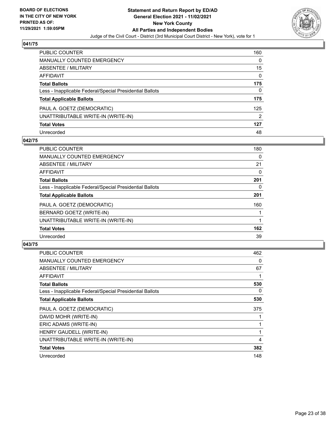

| <b>PUBLIC COUNTER</b>                                    | 160      |
|----------------------------------------------------------|----------|
| <b>MANUALLY COUNTED EMERGENCY</b>                        | 0        |
| ABSENTEE / MILITARY                                      | 15       |
| <b>AFFIDAVIT</b>                                         | $\Omega$ |
| <b>Total Ballots</b>                                     | 175      |
| Less - Inapplicable Federal/Special Presidential Ballots | 0        |
| <b>Total Applicable Ballots</b>                          | 175      |
| PAUL A. GOETZ (DEMOCRATIC)                               | 125      |
| UNATTRIBUTABLE WRITE-IN (WRITE-IN)                       | 2        |
| <b>Total Votes</b>                                       | 127      |
| Unrecorded                                               | 48       |

#### **042/75**

| <b>PUBLIC COUNTER</b>                                    | 180 |
|----------------------------------------------------------|-----|
| <b>MANUALLY COUNTED EMERGENCY</b>                        | 0   |
| ABSENTEE / MILITARY                                      | 21  |
| <b>AFFIDAVIT</b>                                         | 0   |
| <b>Total Ballots</b>                                     | 201 |
| Less - Inapplicable Federal/Special Presidential Ballots | 0   |
| <b>Total Applicable Ballots</b>                          | 201 |
| PAUL A. GOETZ (DEMOCRATIC)                               | 160 |
| BERNARD GOETZ (WRITE-IN)                                 |     |
| UNATTRIBUTABLE WRITE-IN (WRITE-IN)                       |     |
| <b>Total Votes</b>                                       | 162 |
| Unrecorded                                               | 39  |

| <b>PUBLIC COUNTER</b>                                    | 462 |
|----------------------------------------------------------|-----|
| <b>MANUALLY COUNTED EMERGENCY</b>                        | 0   |
| <b>ABSENTEE / MILITARY</b>                               | 67  |
| AFFIDAVIT                                                |     |
| <b>Total Ballots</b>                                     | 530 |
| Less - Inapplicable Federal/Special Presidential Ballots | 0   |
| <b>Total Applicable Ballots</b>                          | 530 |
| PAUL A. GOETZ (DEMOCRATIC)                               | 375 |
| DAVID MOHR (WRITE-IN)                                    |     |
| ERIC ADAMS (WRITE-IN)                                    |     |
| HENRY GAUDELL (WRITE-IN)                                 |     |
| UNATTRIBUTABLE WRITE-IN (WRITE-IN)                       | 4   |
| <b>Total Votes</b>                                       | 382 |
| Unrecorded                                               | 148 |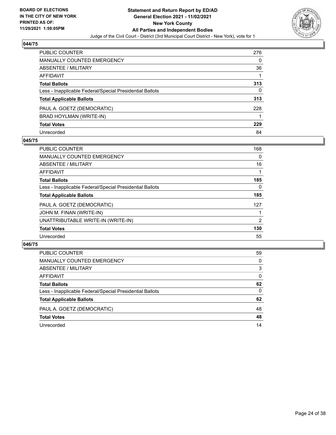

| PUBLIC COUNTER                                           | 276 |
|----------------------------------------------------------|-----|
| <b>MANUALLY COUNTED EMERGENCY</b>                        | 0   |
| ABSENTEE / MILITARY                                      | 36  |
| AFFIDAVIT                                                |     |
| <b>Total Ballots</b>                                     | 313 |
| Less - Inapplicable Federal/Special Presidential Ballots | 0   |
| <b>Total Applicable Ballots</b>                          | 313 |
| PAUL A. GOETZ (DEMOCRATIC)                               | 228 |
| BRAD HOYLMAN (WRITE-IN)                                  |     |
| <b>Total Votes</b>                                       | 229 |
| Unrecorded                                               | 84  |

#### **045/75**

| <b>PUBLIC COUNTER</b>                                    | 168      |
|----------------------------------------------------------|----------|
| MANUALLY COUNTED EMERGENCY                               | $\Omega$ |
| ABSENTEE / MILITARY                                      | 16       |
| <b>AFFIDAVIT</b>                                         |          |
| <b>Total Ballots</b>                                     | 185      |
| Less - Inapplicable Federal/Special Presidential Ballots | $\Omega$ |
| <b>Total Applicable Ballots</b>                          | 185      |
| PAUL A. GOETZ (DEMOCRATIC)                               | 127      |
| JOHN M. FINAN (WRITE-IN)                                 |          |
| UNATTRIBUTABLE WRITE-IN (WRITE-IN)                       | 2        |
| <b>Total Votes</b>                                       | 130      |
| Unrecorded                                               | 55       |

| PUBLIC COUNTER                                           | 59       |
|----------------------------------------------------------|----------|
| MANUALLY COUNTED EMERGENCY                               | $\Omega$ |
| <b>ABSENTEE / MILITARY</b>                               | 3        |
| AFFIDAVIT                                                | $\Omega$ |
| <b>Total Ballots</b>                                     | 62       |
| Less - Inapplicable Federal/Special Presidential Ballots | $\Omega$ |
| <b>Total Applicable Ballots</b>                          | 62       |
| PAUL A. GOETZ (DEMOCRATIC)                               | 48       |
| <b>Total Votes</b>                                       | 48       |
| Unrecorded                                               | 14       |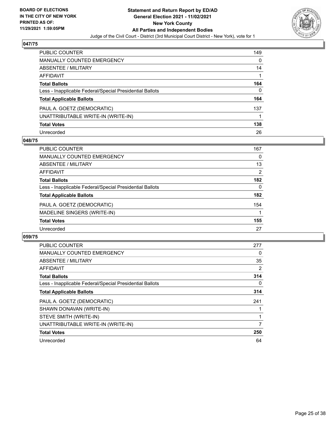

| <b>PUBLIC COUNTER</b>                                    | 149 |
|----------------------------------------------------------|-----|
| <b>MANUALLY COUNTED EMERGENCY</b>                        | 0   |
| ABSENTEE / MILITARY                                      | 14  |
| <b>AFFIDAVIT</b>                                         |     |
| <b>Total Ballots</b>                                     | 164 |
| Less - Inapplicable Federal/Special Presidential Ballots | 0   |
| <b>Total Applicable Ballots</b>                          | 164 |
| PAUL A. GOETZ (DEMOCRATIC)                               | 137 |
| UNATTRIBUTABLE WRITE-IN (WRITE-IN)                       |     |
| <b>Total Votes</b>                                       | 138 |
| Unrecorded                                               | 26  |

#### **048/75**

| <b>PUBLIC COUNTER</b>                                    | 167 |
|----------------------------------------------------------|-----|
| <b>MANUALLY COUNTED EMERGENCY</b>                        | 0   |
| ABSENTEE / MILITARY                                      | 13  |
| AFFIDAVIT                                                | 2   |
| <b>Total Ballots</b>                                     | 182 |
| Less - Inapplicable Federal/Special Presidential Ballots | 0   |
| <b>Total Applicable Ballots</b>                          | 182 |
| PAUL A. GOETZ (DEMOCRATIC)                               | 154 |
| MADELINE SINGERS (WRITE-IN)                              |     |
| <b>Total Votes</b>                                       | 155 |
| Unrecorded                                               | 27  |

| <b>PUBLIC COUNTER</b>                                    | 277 |
|----------------------------------------------------------|-----|
| <b>MANUALLY COUNTED EMERGENCY</b>                        | 0   |
| ABSENTEE / MILITARY                                      | 35  |
| AFFIDAVIT                                                | 2   |
| <b>Total Ballots</b>                                     | 314 |
| Less - Inapplicable Federal/Special Presidential Ballots | 0   |
| <b>Total Applicable Ballots</b>                          | 314 |
| PAUL A. GOETZ (DEMOCRATIC)                               | 241 |
| SHAWN DONAVAN (WRITE-IN)                                 |     |
| STEVE SMITH (WRITE-IN)                                   |     |
| UNATTRIBUTABLE WRITE-IN (WRITE-IN)                       | 7   |
| <b>Total Votes</b>                                       | 250 |
| Unrecorded                                               | 64  |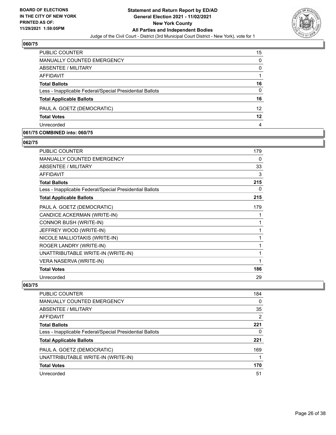

| <b>PUBLIC COUNTER</b>                                    | 15       |
|----------------------------------------------------------|----------|
| MANUALLY COUNTED EMERGENCY                               | 0        |
| ABSENTEE / MILITARY                                      | $\Omega$ |
| AFFIDAVIT                                                |          |
| <b>Total Ballots</b>                                     | 16       |
| Less - Inapplicable Federal/Special Presidential Ballots | $\Omega$ |
| <b>Total Applicable Ballots</b>                          | 16       |
| PAUL A. GOETZ (DEMOCRATIC)                               | 12       |
| <b>Total Votes</b>                                       | 12       |
| Unrecorded                                               | 4        |

#### **061/75 COMBINED into: 060/75**

#### **062/75**

| PUBLIC COUNTER                                           | 179 |
|----------------------------------------------------------|-----|
| <b>MANUALLY COUNTED EMERGENCY</b>                        | 0   |
| ABSENTEE / MILITARY                                      | 33  |
| AFFIDAVIT                                                | 3   |
| <b>Total Ballots</b>                                     | 215 |
| Less - Inapplicable Federal/Special Presidential Ballots | 0   |
| <b>Total Applicable Ballots</b>                          | 215 |
| PAUL A. GOETZ (DEMOCRATIC)                               | 179 |
| CANDICE ACKERMAN (WRITE-IN)                              | 1   |
| CONNOR BUSH (WRITE-IN)                                   | 1   |
| JEFFREY WOOD (WRITE-IN)                                  | 1   |
| NICOLE MALLIOTAKIS (WRITE-IN)                            | 1   |
| ROGER LANDRY (WRITE-IN)                                  | 1   |
| UNATTRIBUTABLE WRITE-IN (WRITE-IN)                       | 1   |
| VERA NASERVA (WRITE-IN)                                  | 1   |
| <b>Total Votes</b>                                       | 186 |
| Unrecorded                                               | 29  |

| <b>PUBLIC COUNTER</b>                                    | 184 |
|----------------------------------------------------------|-----|
| <b>MANUALLY COUNTED EMERGENCY</b>                        | 0   |
| ABSENTEE / MILITARY                                      | 35  |
| AFFIDAVIT                                                | 2   |
| <b>Total Ballots</b>                                     | 221 |
| Less - Inapplicable Federal/Special Presidential Ballots | 0   |
| <b>Total Applicable Ballots</b>                          | 221 |
| PAUL A. GOETZ (DEMOCRATIC)                               | 169 |
| UNATTRIBUTABLE WRITE-IN (WRITE-IN)                       | 1   |
| <b>Total Votes</b>                                       | 170 |
| Unrecorded                                               | 51  |
|                                                          |     |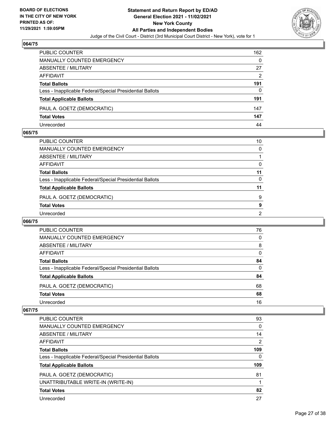

| PUBLIC COUNTER                                           | 162 |
|----------------------------------------------------------|-----|
| MANUALLY COUNTED EMERGENCY                               | 0   |
| <b>ABSENTEE / MILITARY</b>                               | 27  |
| AFFIDAVIT                                                | 2   |
| <b>Total Ballots</b>                                     | 191 |
| Less - Inapplicable Federal/Special Presidential Ballots | 0   |
| <b>Total Applicable Ballots</b>                          | 191 |
| PAUL A. GOETZ (DEMOCRATIC)                               | 147 |
| <b>Total Votes</b>                                       | 147 |
| Unrecorded                                               | 44  |

#### **065/75**

| PUBLIC COUNTER                                           | 10       |
|----------------------------------------------------------|----------|
| <b>MANUALLY COUNTED EMERGENCY</b>                        | $\Omega$ |
| ABSENTEE / MILITARY                                      |          |
| AFFIDAVIT                                                | 0        |
| <b>Total Ballots</b>                                     | 11       |
| Less - Inapplicable Federal/Special Presidential Ballots | $\Omega$ |
| <b>Total Applicable Ballots</b>                          | 11       |
| PAUL A. GOETZ (DEMOCRATIC)                               | 9        |
| <b>Total Votes</b>                                       | 9        |
| Unrecorded                                               | 2        |
|                                                          |          |

#### **066/75**

| PUBLIC COUNTER                                           | 76       |
|----------------------------------------------------------|----------|
| MANUALLY COUNTED EMERGENCY                               | 0        |
| ABSENTEE / MILITARY                                      | 8        |
| AFFIDAVIT                                                | $\Omega$ |
| <b>Total Ballots</b>                                     | 84       |
| Less - Inapplicable Federal/Special Presidential Ballots | 0        |
| <b>Total Applicable Ballots</b>                          | 84       |
| PAUL A. GOETZ (DEMOCRATIC)                               | 68       |
| <b>Total Votes</b>                                       | 68       |
| Unrecorded                                               | 16       |

| PUBLIC COUNTER                                           | 93  |
|----------------------------------------------------------|-----|
| <b>MANUALLY COUNTED EMERGENCY</b>                        | 0   |
| ABSENTEE / MILITARY                                      | 14  |
| AFFIDAVIT                                                | 2   |
| <b>Total Ballots</b>                                     | 109 |
| Less - Inapplicable Federal/Special Presidential Ballots | 0   |
| <b>Total Applicable Ballots</b>                          | 109 |
| PAUL A. GOETZ (DEMOCRATIC)                               | 81  |
| UNATTRIBUTABLE WRITE-IN (WRITE-IN)                       |     |
| <b>Total Votes</b>                                       | 82  |
| Unrecorded                                               | 27  |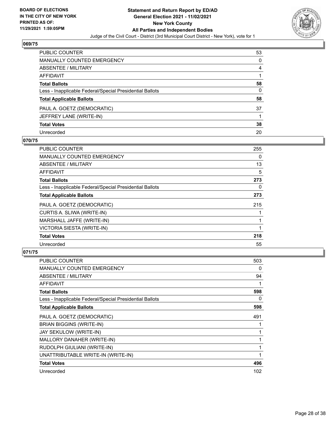

| PUBLIC COUNTER                                           | 53 |
|----------------------------------------------------------|----|
| <b>MANUALLY COUNTED EMERGENCY</b>                        | 0  |
| <b>ABSENTEE / MILITARY</b>                               | 4  |
| <b>AFFIDAVIT</b>                                         |    |
| <b>Total Ballots</b>                                     | 58 |
| Less - Inapplicable Federal/Special Presidential Ballots | 0  |
| <b>Total Applicable Ballots</b>                          | 58 |
| PAUL A. GOETZ (DEMOCRATIC)                               | 37 |
| JEFFREY LANE (WRITE-IN)                                  |    |
| <b>Total Votes</b>                                       | 38 |
| Unrecorded                                               | 20 |

#### **070/75**

| PUBLIC COUNTER                                           | 255      |
|----------------------------------------------------------|----------|
| <b>MANUALLY COUNTED EMERGENCY</b>                        | $\Omega$ |
| ABSENTEE / MILITARY                                      | 13       |
| AFFIDAVIT                                                | 5        |
| <b>Total Ballots</b>                                     | 273      |
| Less - Inapplicable Federal/Special Presidential Ballots | 0        |
| <b>Total Applicable Ballots</b>                          | 273      |
| PAUL A. GOETZ (DEMOCRATIC)                               | 215      |
| CURTIS A. SLIWA (WRITE-IN)                               |          |
| MARSHALL JAFFE (WRITE-IN)                                |          |
| VICTORIA SIESTA (WRITE-IN)                               |          |
| <b>Total Votes</b>                                       | 218      |
| Unrecorded                                               | 55       |

| <b>PUBLIC COUNTER</b>                                    | 503          |
|----------------------------------------------------------|--------------|
| <b>MANUALLY COUNTED EMERGENCY</b>                        | 0            |
| ABSENTEE / MILITARY                                      | 94           |
| AFFIDAVIT                                                | 1            |
| <b>Total Ballots</b>                                     | 598          |
| Less - Inapplicable Federal/Special Presidential Ballots | 0            |
| <b>Total Applicable Ballots</b>                          | 598          |
| PAUL A. GOETZ (DEMOCRATIC)                               | 491          |
| <b>BRIAN BIGGINS (WRITE-IN)</b>                          |              |
| JAY SEKULOW (WRITE-IN)                                   | 1            |
| MALLORY DANAHER (WRITE-IN)                               | 1            |
| RUDOLPH GIULIANI (WRITE-IN)                              | 1            |
| UNATTRIBUTABLE WRITE-IN (WRITE-IN)                       | $\mathbf{1}$ |
| <b>Total Votes</b>                                       | 496          |
| Unrecorded                                               | 102          |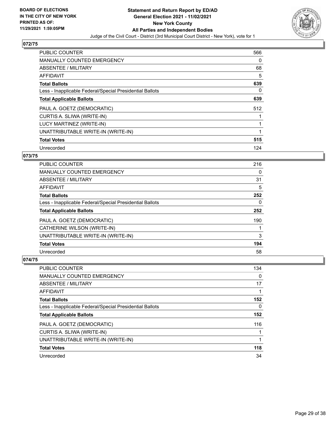

| <b>PUBLIC COUNTER</b>                                    | 566 |
|----------------------------------------------------------|-----|
| <b>MANUALLY COUNTED EMERGENCY</b>                        | 0   |
| <b>ABSENTEE / MILITARY</b>                               | 68  |
| <b>AFFIDAVIT</b>                                         | 5   |
| <b>Total Ballots</b>                                     | 639 |
| Less - Inapplicable Federal/Special Presidential Ballots | 0   |
| <b>Total Applicable Ballots</b>                          | 639 |
| PAUL A. GOETZ (DEMOCRATIC)                               | 512 |
| CURTIS A. SLIWA (WRITE-IN)                               |     |
| LUCY MARTINEZ (WRITE-IN)                                 |     |
| UNATTRIBUTABLE WRITE-IN (WRITE-IN)                       | 1   |
| <b>Total Votes</b>                                       | 515 |
| Unrecorded                                               | 124 |

## **073/75**

| <b>PUBLIC COUNTER</b>                                    | 216      |
|----------------------------------------------------------|----------|
| <b>MANUALLY COUNTED EMERGENCY</b>                        | 0        |
| ABSENTEE / MILITARY                                      | 31       |
| <b>AFFIDAVIT</b>                                         | 5        |
| <b>Total Ballots</b>                                     | 252      |
| Less - Inapplicable Federal/Special Presidential Ballots | $\Omega$ |
| <b>Total Applicable Ballots</b>                          | 252      |
| PAUL A. GOETZ (DEMOCRATIC)                               | 190      |
| CATHERINE WILSON (WRITE-IN)                              |          |
| UNATTRIBUTABLE WRITE-IN (WRITE-IN)                       | 3        |
| <b>Total Votes</b>                                       | 194      |
| Unrecorded                                               | 58       |

| <b>PUBLIC COUNTER</b>                                    | 134 |
|----------------------------------------------------------|-----|
| <b>MANUALLY COUNTED EMERGENCY</b>                        | 0   |
| ABSENTEE / MILITARY                                      | 17  |
| AFFIDAVIT                                                |     |
| <b>Total Ballots</b>                                     | 152 |
| Less - Inapplicable Federal/Special Presidential Ballots | 0   |
| <b>Total Applicable Ballots</b>                          | 152 |
| PAUL A. GOETZ (DEMOCRATIC)                               | 116 |
| CURTIS A. SLIWA (WRITE-IN)                               |     |
| UNATTRIBUTABLE WRITE-IN (WRITE-IN)                       |     |
| <b>Total Votes</b>                                       | 118 |
|                                                          |     |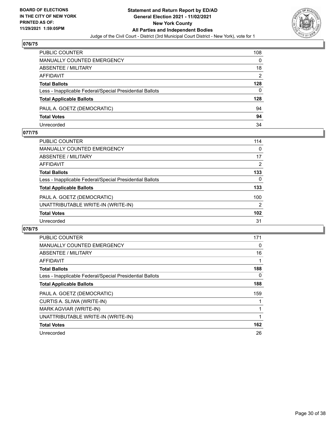

| PUBLIC COUNTER                                           | 108 |
|----------------------------------------------------------|-----|
| <b>MANUALLY COUNTED EMERGENCY</b>                        | 0   |
| ABSENTEE / MILITARY                                      | 18  |
| AFFIDAVIT                                                | 2   |
| <b>Total Ballots</b>                                     | 128 |
| Less - Inapplicable Federal/Special Presidential Ballots | 0   |
| <b>Total Applicable Ballots</b>                          | 128 |
| PAUL A. GOETZ (DEMOCRATIC)                               | 94  |
| <b>Total Votes</b>                                       | 94  |
| Unrecorded                                               | 34  |

#### **077/75**

| PUBLIC COUNTER                                           | 114           |
|----------------------------------------------------------|---------------|
| <b>MANUALLY COUNTED EMERGENCY</b>                        | $\Omega$      |
| ABSENTEE / MILITARY                                      | 17            |
| AFFIDAVIT                                                | 2             |
| <b>Total Ballots</b>                                     | 133           |
| Less - Inapplicable Federal/Special Presidential Ballots | 0             |
| <b>Total Applicable Ballots</b>                          | 133           |
| PAUL A. GOETZ (DEMOCRATIC)                               | 100           |
| UNATTRIBUTABLE WRITE-IN (WRITE-IN)                       | $\mathcal{P}$ |
| <b>Total Votes</b>                                       | 102           |
| Unrecorded                                               | 31            |
|                                                          |               |

| PUBLIC COUNTER                                           | 171 |
|----------------------------------------------------------|-----|
| <b>MANUALLY COUNTED EMERGENCY</b>                        | 0   |
| ABSENTEE / MILITARY                                      | 16  |
| AFFIDAVIT                                                |     |
| <b>Total Ballots</b>                                     | 188 |
| Less - Inapplicable Federal/Special Presidential Ballots | 0   |
| <b>Total Applicable Ballots</b>                          | 188 |
| PAUL A. GOETZ (DEMOCRATIC)                               | 159 |
| CURTIS A. SLIWA (WRITE-IN)                               |     |
| MARK AGVIAR (WRITE-IN)                                   |     |
| UNATTRIBUTABLE WRITE-IN (WRITE-IN)                       |     |
| <b>Total Votes</b>                                       | 162 |
| Unrecorded                                               | 26  |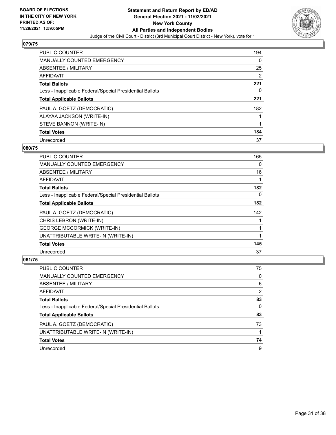

| <b>PUBLIC COUNTER</b>                                    | 194 |
|----------------------------------------------------------|-----|
| <b>MANUALLY COUNTED EMERGENCY</b>                        | 0   |
| ABSENTEE / MILITARY                                      | 25  |
| AFFIDAVIT                                                | 2   |
| <b>Total Ballots</b>                                     | 221 |
| Less - Inapplicable Federal/Special Presidential Ballots | 0   |
| <b>Total Applicable Ballots</b>                          | 221 |
| PAUL A. GOETZ (DEMOCRATIC)                               | 182 |
| ALAYAA JACKSON (WRITE-IN)                                |     |
| STEVE BANNON (WRITE-IN)                                  |     |
| <b>Total Votes</b>                                       | 184 |
| Unrecorded                                               | 37  |

#### **080/75**

| PUBLIC COUNTER                                           | 165      |
|----------------------------------------------------------|----------|
| <b>MANUALLY COUNTED EMERGENCY</b>                        | $\Omega$ |
| ABSENTEE / MILITARY                                      | 16       |
| <b>AFFIDAVIT</b>                                         |          |
| <b>Total Ballots</b>                                     | 182      |
| Less - Inapplicable Federal/Special Presidential Ballots | $\Omega$ |
| <b>Total Applicable Ballots</b>                          | 182      |
| PAUL A. GOETZ (DEMOCRATIC)                               | 142      |
| CHRIS LEBRON (WRITE-IN)                                  |          |
| <b>GEORGE MCCORMICK (WRITE-IN)</b>                       |          |
| UNATTRIBUTABLE WRITE-IN (WRITE-IN)                       |          |
| <b>Total Votes</b>                                       | 145      |
| Unrecorded                                               | 37       |

| PUBLIC COUNTER                                           | 75       |
|----------------------------------------------------------|----------|
| MANUALLY COUNTED EMERGENCY                               | 0        |
| ABSENTEE / MILITARY                                      | 6        |
| AFFIDAVIT                                                | 2        |
| <b>Total Ballots</b>                                     | 83       |
| Less - Inapplicable Federal/Special Presidential Ballots | $\Omega$ |
| <b>Total Applicable Ballots</b>                          | 83       |
| PAUL A. GOETZ (DEMOCRATIC)                               | 73       |
| UNATTRIBUTABLE WRITE-IN (WRITE-IN)                       |          |
| <b>Total Votes</b>                                       | 74       |
| Unrecorded                                               | 9        |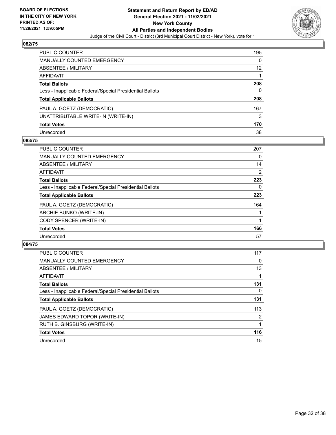

| <b>PUBLIC COUNTER</b>                                    | 195               |
|----------------------------------------------------------|-------------------|
| <b>MANUALLY COUNTED EMERGENCY</b>                        | $\Omega$          |
| ABSENTEE / MILITARY                                      | $12 \overline{ }$ |
| <b>AFFIDAVIT</b>                                         |                   |
| <b>Total Ballots</b>                                     | 208               |
| Less - Inapplicable Federal/Special Presidential Ballots | 0                 |
| <b>Total Applicable Ballots</b>                          | 208               |
| PAUL A. GOETZ (DEMOCRATIC)                               | 167               |
| UNATTRIBUTABLE WRITE-IN (WRITE-IN)                       | 3                 |
| <b>Total Votes</b>                                       | 170               |
| Unrecorded                                               | 38                |

#### **083/75**

| <b>PUBLIC COUNTER</b>                                    | 207            |
|----------------------------------------------------------|----------------|
| <b>MANUALLY COUNTED EMERGENCY</b>                        | 0              |
| ABSENTEE / MILITARY                                      | 14             |
| AFFIDAVIT                                                | $\overline{2}$ |
| <b>Total Ballots</b>                                     | 223            |
| Less - Inapplicable Federal/Special Presidential Ballots | 0              |
| <b>Total Applicable Ballots</b>                          | 223            |
| PAUL A. GOETZ (DEMOCRATIC)                               | 164            |
| ARCHIE BUNKO (WRITE-IN)                                  |                |
| CODY SPENCER (WRITE-IN)                                  |                |
| <b>Total Votes</b>                                       | 166            |
| Unrecorded                                               | 57             |

| <b>PUBLIC COUNTER</b>                                    | 117            |
|----------------------------------------------------------|----------------|
| <b>MANUALLY COUNTED EMERGENCY</b>                        | 0              |
| ABSENTEE / MILITARY                                      | 13             |
| AFFIDAVIT                                                |                |
| <b>Total Ballots</b>                                     | 131            |
| Less - Inapplicable Federal/Special Presidential Ballots | 0              |
| <b>Total Applicable Ballots</b>                          | 131            |
| PAUL A. GOETZ (DEMOCRATIC)                               | 113            |
| JAMES EDWARD TOPOR (WRITE-IN)                            | $\overline{2}$ |
| RUTH B. GINSBURG (WRITE-IN)                              |                |
| <b>Total Votes</b>                                       | 116            |
| Unrecorded                                               | 15             |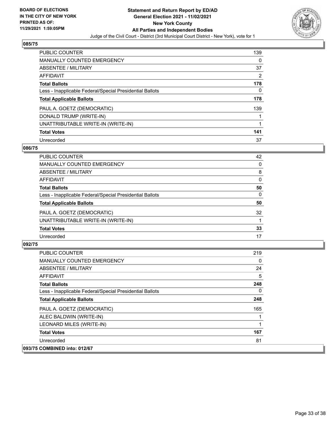

| <b>PUBLIC COUNTER</b>                                    | 139 |
|----------------------------------------------------------|-----|
| <b>MANUALLY COUNTED EMERGENCY</b>                        | 0   |
| ABSENTEE / MILITARY                                      | 37  |
| AFFIDAVIT                                                | 2   |
| <b>Total Ballots</b>                                     | 178 |
| Less - Inapplicable Federal/Special Presidential Ballots | 0   |
| <b>Total Applicable Ballots</b>                          | 178 |
| PAUL A. GOETZ (DEMOCRATIC)                               | 139 |
| DONALD TRUMP (WRITE-IN)                                  |     |
| UNATTRIBUTABLE WRITE-IN (WRITE-IN)                       |     |
| <b>Total Votes</b>                                       | 141 |
| Unrecorded                                               | 37  |

#### **086/75**

| PUBLIC COUNTER                                           | 42       |
|----------------------------------------------------------|----------|
| <b>MANUALLY COUNTED EMERGENCY</b>                        | 0        |
| ABSENTEE / MILITARY                                      | 8        |
| AFFIDAVIT                                                | 0        |
| <b>Total Ballots</b>                                     | 50       |
| Less - Inapplicable Federal/Special Presidential Ballots | $\Omega$ |
| <b>Total Applicable Ballots</b>                          | 50       |
| PAUL A. GOETZ (DEMOCRATIC)                               | 32       |
| UNATTRIBUTABLE WRITE-IN (WRITE-IN)                       |          |
| <b>Total Votes</b>                                       | 33       |
| Unrecorded                                               | 17       |

| <b>PUBLIC COUNTER</b>                                    | 219 |
|----------------------------------------------------------|-----|
| <b>MANUALLY COUNTED EMERGENCY</b>                        | 0   |
| ABSENTEE / MILITARY                                      | 24  |
| AFFIDAVIT                                                | 5   |
| <b>Total Ballots</b>                                     | 248 |
| Less - Inapplicable Federal/Special Presidential Ballots | 0   |
| <b>Total Applicable Ballots</b>                          | 248 |
| PAUL A. GOETZ (DEMOCRATIC)                               | 165 |
| ALEC BALDWIN (WRITE-IN)                                  |     |
| LEONARD MILES (WRITE-IN)                                 |     |
| <b>Total Votes</b>                                       | 167 |
| Unrecorded                                               | 81  |
| 093/75 COMBINED into: 012/67                             |     |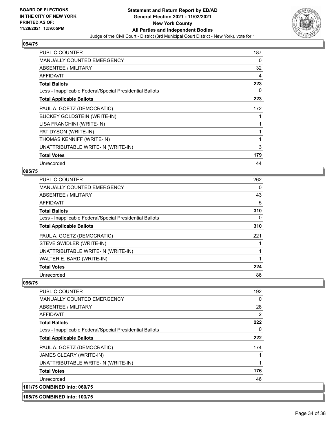

| <b>PUBLIC COUNTER</b>                                    | 187 |
|----------------------------------------------------------|-----|
| <b>MANUALLY COUNTED EMERGENCY</b>                        | 0   |
| ABSENTEE / MILITARY                                      | 32  |
| <b>AFFIDAVIT</b>                                         | 4   |
| <b>Total Ballots</b>                                     | 223 |
| Less - Inapplicable Federal/Special Presidential Ballots | 0   |
| <b>Total Applicable Ballots</b>                          | 223 |
| PAUL A. GOETZ (DEMOCRATIC)                               | 172 |
| <b>BUCKEY GOLDSTEIN (WRITE-IN)</b>                       |     |
| LISA FRANCHINI (WRITE-IN)                                |     |
| PAT DYSON (WRITE-IN)                                     |     |
| THOMAS KENNIFF (WRITE-IN)                                |     |
| UNATTRIBUTABLE WRITE-IN (WRITE-IN)                       | 3   |
| <b>Total Votes</b>                                       | 179 |
| Unrecorded                                               | 44  |

#### **095/75**

| PUBLIC COUNTER                                           | 262 |
|----------------------------------------------------------|-----|
| <b>MANUALLY COUNTED EMERGENCY</b>                        | 0   |
| ABSENTEE / MILITARY                                      | 43  |
| AFFIDAVIT                                                | 5   |
| <b>Total Ballots</b>                                     | 310 |
| Less - Inapplicable Federal/Special Presidential Ballots | 0   |
| <b>Total Applicable Ballots</b>                          | 310 |
| PAUL A. GOETZ (DEMOCRATIC)                               | 221 |
| STEVE SWIDLER (WRITE-IN)                                 |     |
| UNATTRIBUTABLE WRITE-IN (WRITE-IN)                       |     |
| WALTER E. BARD (WRITE-IN)                                | 1   |
| <b>Total Votes</b>                                       | 224 |
| Unrecorded                                               | 86  |

| <b>PUBLIC COUNTER</b>                                    | 192 |
|----------------------------------------------------------|-----|
| <b>MANUALLY COUNTED EMERGENCY</b>                        | 0   |
| ABSENTEE / MILITARY                                      | 28  |
| AFFIDAVIT                                                | 2   |
| <b>Total Ballots</b>                                     | 222 |
| Less - Inapplicable Federal/Special Presidential Ballots | 0   |
| <b>Total Applicable Ballots</b>                          | 222 |
| PAUL A. GOETZ (DEMOCRATIC)                               | 174 |
| JAMES CLEARY (WRITE-IN)                                  |     |
| UNATTRIBUTABLE WRITE-IN (WRITE-IN)                       | 1   |
| <b>Total Votes</b>                                       | 176 |
| Unrecorded                                               | 46  |
| 101/75 COMBINED into: 060/75                             |     |
| 105/75 COMBINED into: 103/75                             |     |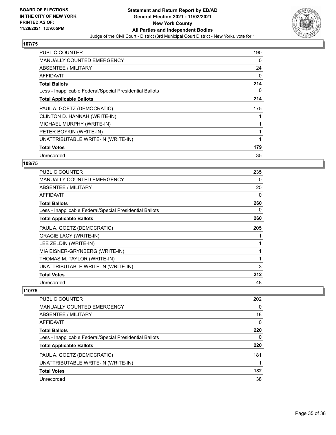

| <b>PUBLIC COUNTER</b>                                    | 190      |
|----------------------------------------------------------|----------|
| <b>MANUALLY COUNTED EMERGENCY</b>                        | 0        |
| ABSENTEE / MILITARY                                      | 24       |
| <b>AFFIDAVIT</b>                                         | $\Omega$ |
| <b>Total Ballots</b>                                     | 214      |
| Less - Inapplicable Federal/Special Presidential Ballots | 0        |
| <b>Total Applicable Ballots</b>                          | 214      |
| PAUL A. GOETZ (DEMOCRATIC)                               | 175      |
| CLINTON D. HANNAH (WRITE-IN)                             |          |
| MICHAEL MURPHY (WRITE-IN)                                |          |
| PETER BOYKIN (WRITE-IN)                                  |          |
| UNATTRIBUTABLE WRITE-IN (WRITE-IN)                       |          |
| <b>Total Votes</b>                                       | 179      |
| Unrecorded                                               | 35       |

## **108/75**

| <b>PUBLIC COUNTER</b>                                    | 235 |
|----------------------------------------------------------|-----|
| <b>MANUALLY COUNTED EMERGENCY</b>                        | 0   |
| ABSENTEE / MILITARY                                      | 25  |
| AFFIDAVIT                                                | 0   |
| <b>Total Ballots</b>                                     | 260 |
| Less - Inapplicable Federal/Special Presidential Ballots | 0   |
| <b>Total Applicable Ballots</b>                          | 260 |
| PAUL A. GOETZ (DEMOCRATIC)                               | 205 |
| <b>GRACIE LACY (WRITE-IN)</b>                            |     |
| LEE ZELDIN (WRITE-IN)                                    |     |
| MIA EISNER-GRYNBERG (WRITE-IN)                           |     |
| THOMAS M. TAYLOR (WRITE-IN)                              | 1   |
| UNATTRIBUTABLE WRITE-IN (WRITE-IN)                       | 3   |
| <b>Total Votes</b>                                       | 212 |
| Unrecorded                                               | 48  |

| <b>PUBLIC COUNTER</b>                                    | 202      |
|----------------------------------------------------------|----------|
| <b>MANUALLY COUNTED EMERGENCY</b>                        | 0        |
| ABSENTEE / MILITARY                                      | 18       |
| AFFIDAVIT                                                | $\Omega$ |
| <b>Total Ballots</b>                                     | 220      |
| Less - Inapplicable Federal/Special Presidential Ballots | $\Omega$ |
| <b>Total Applicable Ballots</b>                          | 220      |
| PAUL A. GOETZ (DEMOCRATIC)                               | 181      |
| UNATTRIBUTABLE WRITE-IN (WRITE-IN)                       |          |
| <b>Total Votes</b>                                       | 182      |
| Unrecorded                                               | 38       |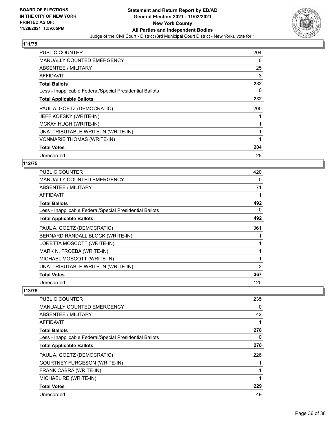

| <b>PUBLIC COUNTER</b>                                    | 204 |
|----------------------------------------------------------|-----|
| <b>MANUALLY COUNTED EMERGENCY</b>                        | 0   |
| ABSENTEE / MILITARY                                      | 25  |
| AFFIDAVIT                                                | 3   |
| <b>Total Ballots</b>                                     | 232 |
| Less - Inapplicable Federal/Special Presidential Ballots | 0   |
| <b>Total Applicable Ballots</b>                          | 232 |
| PAUL A. GOETZ (DEMOCRATIC)                               | 200 |
|                                                          |     |
| JEFF KOFSKY (WRITE-IN)                                   |     |
| MCKAY HUGH (WRITE-IN)                                    |     |
| UNATTRIBUTABLE WRITE-IN (WRITE-IN)                       |     |
| <b>VONMARIE THOMAS (WRITE-IN)</b>                        |     |
| <b>Total Votes</b>                                       | 204 |

#### **112/75**

| <b>PUBLIC COUNTER</b>                                    | 420            |
|----------------------------------------------------------|----------------|
| <b>MANUALLY COUNTED EMERGENCY</b>                        | 0              |
| ABSENTEE / MILITARY                                      | 71             |
| AFFIDAVIT                                                |                |
| <b>Total Ballots</b>                                     | 492            |
| Less - Inapplicable Federal/Special Presidential Ballots | 0              |
| <b>Total Applicable Ballots</b>                          | 492            |
| PAUL A. GOETZ (DEMOCRATIC)                               | 361            |
| BERNARD RANDALL BLOCK (WRITE-IN)                         |                |
| LORETTA MOSCOTT (WRITE-IN)                               |                |
| MARK N. FROEBA (WRITE-IN)                                |                |
| MICHAEL MOSCOTT (WRITE-IN)                               |                |
| UNATTRIBUTABLE WRITE-IN (WRITE-IN)                       | $\overline{2}$ |
| <b>Total Votes</b>                                       | 367            |
| Unrecorded                                               | 125            |

| <b>PUBLIC COUNTER</b>                                    | 235      |
|----------------------------------------------------------|----------|
| <b>MANUALLY COUNTED EMERGENCY</b>                        | 0        |
| ABSENTEE / MILITARY                                      | 42       |
| AFFIDAVIT                                                | 1        |
| <b>Total Ballots</b>                                     | 278      |
| Less - Inapplicable Federal/Special Presidential Ballots | $\Omega$ |
| <b>Total Applicable Ballots</b>                          | 278      |
| PAUL A. GOETZ (DEMOCRATIC)                               | 226      |
| COURTNEY FURGESON (WRITE-IN)                             |          |
| FRANK CABRA (WRITE-IN)                                   | 1        |
| MICHAEL RE (WRITE-IN)                                    | 1        |
| <b>Total Votes</b>                                       | 229      |
| Unrecorded                                               | 49       |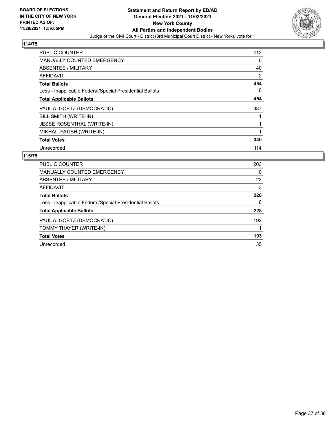

| <b>PUBLIC COUNTER</b>                                    | 412      |
|----------------------------------------------------------|----------|
| <b>MANUALLY COUNTED EMERGENCY</b>                        | 0        |
| ABSENTEE / MILITARY                                      | 40       |
| AFFIDAVIT                                                | 2        |
| <b>Total Ballots</b>                                     | 454      |
| Less - Inapplicable Federal/Special Presidential Ballots | $\Omega$ |
| <b>Total Applicable Ballots</b>                          | 454      |
| PAUL A. GOETZ (DEMOCRATIC)                               | 337      |
| BILL SMITH (WRITE-IN)                                    |          |
| <b>JESSE ROSENTHAL (WRITE-IN)</b>                        | 1        |
| MIKHAIL PATISH (WRITE-IN)                                |          |
| <b>Total Votes</b>                                       | 340      |
| Unrecorded                                               | 114      |

| <b>PUBLIC COUNTER</b>                                    | 203      |
|----------------------------------------------------------|----------|
| MANUALLY COUNTED EMERGENCY                               | $\Omega$ |
| ABSENTEE / MILITARY                                      | 22       |
| AFFIDAVIT                                                | 3        |
| <b>Total Ballots</b>                                     | 228      |
| Less - Inapplicable Federal/Special Presidential Ballots | 0        |
| <b>Total Applicable Ballots</b>                          | 228      |
| PAUL A. GOETZ (DEMOCRATIC)                               | 192      |
| TOMMY THAYER (WRITE-IN)                                  |          |
| <b>Total Votes</b>                                       | 193      |
| Unrecorded                                               | 35       |